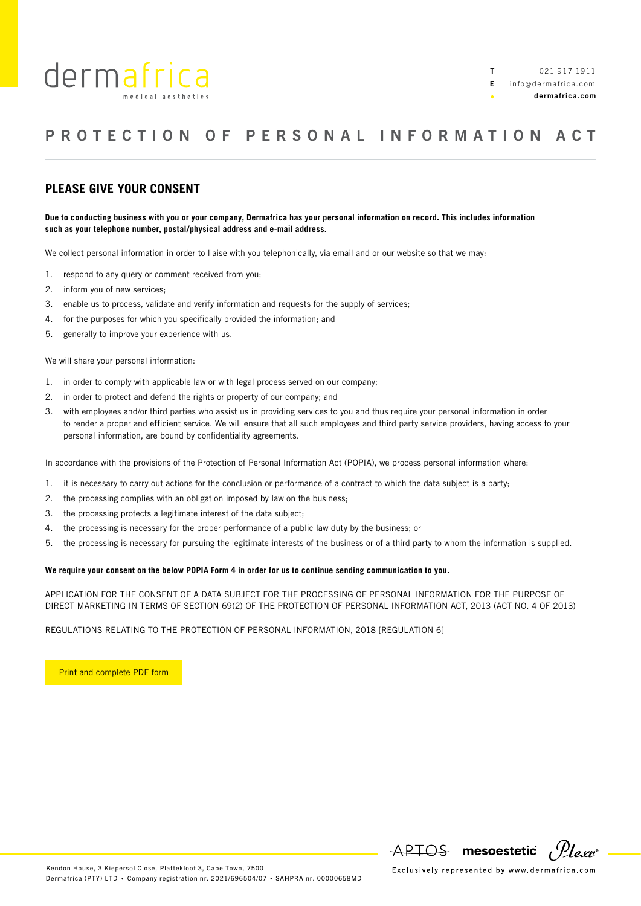

# PROTECTION OF PERSONAL INFORMATION ACT

### **PLEASE GIVE YOUR CONSENT**

#### **Due to conducting business with you or your company, Dermafrica has your personal information on record. This includes information such as your telephone number, postal/physical address and e-mail address.**

We collect personal information in order to liaise with you telephonically, via email and or our website so that we may:

- 1. respond to any query or comment received from you;
- 2. inform you of new services;
- 3. enable us to process, validate and verify information and requests for the supply of services;
- 4. for the purposes for which you specifically provided the information; and
- 5. generally to improve your experience with us.

We will share your personal information:

- 1. in order to comply with applicable law or with legal process served on our company;
- 2. in order to protect and defend the rights or property of our company; and
- 3. with employees and/or third parties who assist us in providing services to you and thus require your personal information in order to render a proper and efficient service. We will ensure that all such employees and third party service providers, having access to your personal information, are bound by confidentiality agreements.

In accordance with the provisions of the Protection of Personal Information Act (POPIA), we process personal information where:

- 1. it is necessary to carry out actions for the conclusion or performance of a contract to which the data subject is a party;
- 2. the processing complies with an obligation imposed by law on the business;
- 3. the processing protects a legitimate interest of the data subject;
- 4. the processing is necessary for the proper performance of a public law duty by the business; or
- 5. the processing is necessary for pursuing the legitimate interests of the business or of a third party to whom the information is supplied.

#### **We require your consent on the below POPIA Form 4 in order for us to continue sending communication to you.**

APPLICATION FOR THE CONSENT OF A DATA SUBJECT FOR THE PROCESSING OF PERSONAL INFORMATION FOR THE PURPOSE OF DIRECT MARKETING IN TERMS OF SECTION 69(2) OF THE PROTECTION OF PERSONAL INFORMATION ACT, 2013 (ACT NO. 4 OF 2013)

SAHPRA nr. 0000658MD oli 1000658MD oli 1000658MD oli 1000658MD oli 1000658MD oli 1000658MD oli 1000658MD oli 1<br>Sahari oli 1000 oli 1000 oli 1000 oli 1000 oli 1000 oli 1000 oli 1000 oli 1000 oli 1000 oli 1000 oli 1000 oli

#### REGULATIONS RELATING TO THE PROTECTION OF PERSONAL INFORMATION, 2018 [REGULATION 6]

Print and complete PDF form

Dermafrica (PTY) LTD Company registration nr. 2021/696504/07